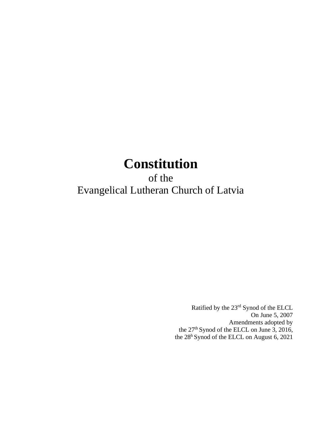# **Constitution**

of the Evangelical Lutheran Church of Latvia

> Ratified by the 23rd Synod of the ELCL On June 5, 2007 Amendments adopted by the 27<sup>th</sup> Synod of the ELCL on June 3, 2016, the 28<sup>h</sup> Synod of the ELCL on August 6, 2021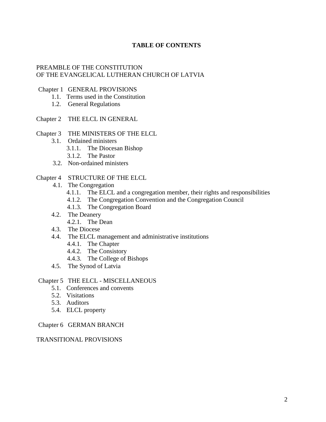# **TABLE OF CONTENTS**

## PREAMBLE OF THE CONSTITUTION OF THE EVANGELICAL LUTHERAN CHURCH OF LATVIA

#### Chapter 1 GENERAL PROVISIONS

- 1.1. Terms used in the Constitution
- 1.2. General Regulations

#### Chapter 2 THE ELCL IN GENERAL

- Chapter 3 THE MINISTERS OF THE ELCL
	- 3.1. Ordained ministers
		- 3.1.1. The Diocesan Bishop
		- 3.1.2. The Pastor
	- 3.2. Non-ordained ministers

#### Chapter 4 STRUCTURE OF THE ELCL

- 4.1. The Congregation
	- 4.1.1. The ELCL and a congregation member, their rights and responsibilities
	- 4.1.2. The Congregation Convention and the Congregation Council
	- 4.1.3. The Congregation Board
- 4.2. The Deanery
	- 4.2.1. The Dean
- 4.3. The Diocese
- 4.4. The ELCL management and administrative institutions
	- 4.4.1. The Chapter
	- 4.4.2. The Consistory
	- 4.4.3. The College of Bishops
- 4.5. The Synod of Latvia

## Chapter 5 THE ELCL - MISCELLANEOUS

- 5.1. Conferences and convents
- 5.2. Visitations
- 5.3. Auditors
- 5.4. ELCL property

#### Chapter 6 GERMAN BRANCH

#### TRANSITIONAL PROVISIONS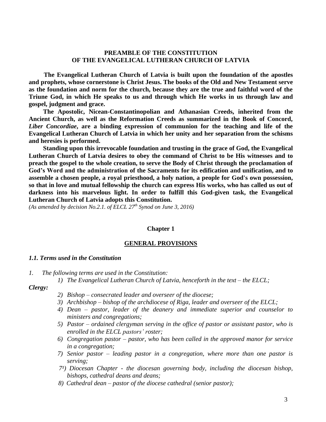# **PREAMBLE OF THE CONSTITUTION OF THE EVANGELICAL LUTHERAN CHURCH OF LATVIA**

**The Evangelical Lutheran Church of Latvia is built upon the foundation of the apostles and prophets, whose cornerstone is Christ Jesus. The books of the Old and New Testament serve as the foundation and norm for the church, because they are the true and faithful word of the Triune God, in which He speaks to us and through which He works in us through law and gospel, judgment and grace.**

**The Apostolic, Nicean-Constantinopolian and Athanasian Creeds, inherited from the Ancient Church, as well as the Reformation Creeds as summarized in the Book of Concord,**  *Liber Concordiae***, are a binding expression of communion for the teaching and life of the Evangelical Lutheran Church of Latvia in which her unity and her separation from the schisms and heresies is performed.**

**Standing upon this irrevocable foundation and trusting in the grace of God, the Evangelical Lutheran Church of Latvia desires to obey the command of Christ to be His witnesses and to preach the gospel to the whole creation, to serve the Body of Christ through the proclamation of God's Word and the administration of the Sacraments for its edification and unification, and to assemble a chosen people, a royal priesthood, a holy nation, a people for God's own possession, so that in love and mutual fellowship the church can express His works, who has called us out of darkness into his marvelous light. In order to fulfill this God-given task, the Evangelical Lutheran Church of Latvia adopts this Constitution.**

*(As amended by decision No.2.1. of ELCL 27 th Synod on June 3, 2016)*

#### **Chapter 1**

#### **GENERAL PROVISIONS**

#### *1.1. Terms used in the Constitution*

- *1. The following terms are used in the Constitution:*
	- *1) The Evangelical Lutheran Church of Latvia, henceforth in the text – the ELCL;*

## *Clergy:*

- *2) Bishop – consecrated leader and overseer of the diocese;*
- *3) Archbishop – bishop of the archdiocese of Riga, leader and overseer of the ELCL;*
- *4) Dean – pastor, leader of the deanery and immediate superior and counselor to ministers and congregations;*
- *5) Pastor – ordained clergyman serving in the office of pastor or assistant pastor, who is enrolled in the ELCL pastors' roster;*
- *6) Congregation pastor – pastor, who has been called in the approved manor for service in a congregation;*
- *7) Senior pastor – leading pastor in a congregation, where more than one pastor is serving;*
- *7¹) Diocesan Chapter - the diocesan governing body, including the diocesan bishop, bishops, cathedral deans and deans;*
- *8) Cathedral dean – pastor of the diocese cathedral (senior pastor);*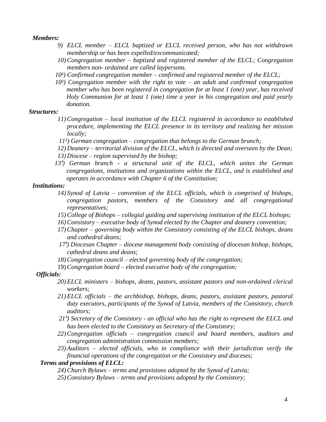*Members:*

- *9) ELCL member – ELCL baptized or ELCL received person, who has not withdrawn membership or has been expelled/excommunicated;*
- *10) Congregation member – baptized and registered member of the ELCL; Congregation members non- ordained are called laypersons.*
- *10<sup>1</sup>*) Confirmed congregation member confirmed and registered member of the ELCL;
- *10²) Congregation member with the right to vote – an adult and confirmed congregation member who has been registered in congregation for at least 1 (one) year, has received Holy Communion for at least 1 (one) time a year in his congregation and paid yearly donation.*

#### *Structures:*

- *11) Congregation – local institution of the ELCL registered in accordance to established procedure, implementing the ELCL presence in its territory and realizing her mission locally;*
- *11<sup><i>i*</sup></sup>) German congregation congregation that belongs to the German branch;
- *12) Deanery – territorial division of the ELCL, which is directed and overseen by the Dean;*
- *13) Diocese – region supervised by the bishop;*
- 13<sup>*<sup>1</sup>*) German branch a structural unit of the ELCL, which unites the German</sup> *congregations, institutions and organizations within the ELCL, and is established and operates in accordance with Chapter 6 of the Constitution;*

#### *Institutions:*

- *14) Synod of Latvia – convention of the ELCL officials, which is comprised of bishops, congregation pastors, members of the Consistory and all congregational representatives;*
- *15) College of Bishops – collegial guiding and supervising institution of the ELCL bishops;*
- *16) Consistory – executive body of Synod elected by the Chapter and deanery convention;*
- *17) Chapter – governing body within the Consistory consisting of the ELCL bishops, deans and cathedral deans;*
- *17¹) Diocesan Chapter – diocese management body consisting of diocesan bishop, bishops, cathedral deans and deans;*
- *18) Congregation council – elected governing body of the congregation;*
- 19) *Congregation board – elected executive body of the congregation;*

#### *Officials:*

- *20) ELCL ministers – bishops, deans, pastors, assistant pastors and non-ordained clerical workers;*
- *21) ELCL officials – the archbishop, bishops, deans, pastors, assistant pastors, pastoral duty executors, participants of the Synod of Latvia, members of the Consistory, church auditors;*
- *21¹) Secretary of the Consistory - an official who has the right to represent the ELCL and has been elected to the Consistory as Secretary of the Consistory;*
- *22) Congregation officials – congregation council and board members, auditors and congregation administration commission members;*
- *23) Auditors – elected officials, who in compliance with their jurisdiction verify the financial operations of the congregation or the Consistory and dioceses;*

#### *Terms and provisions of ELCL:*

- *24) Church Bylaws – terms and provisions adopted by the Synod of Latvia;*
- *25) Consistory Bylaws – terms and provisions adopted by the Consistory;*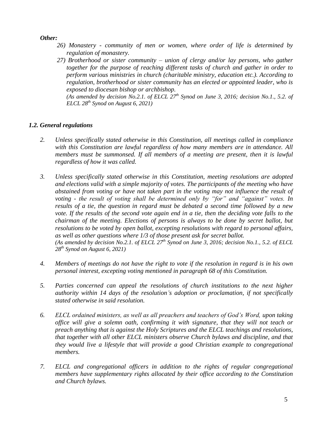*Other:*

- *26) Monastery - community of men or women, where order of life is determined by regulation of monastery.*
- *27) Brotherhood or sister community – union of clergy and/or lay persons, who gather together for the purpose of reaching different tasks of church and gather in order to perform various ministries in church (charitable ministry, education etc.). According to regulation, brotherhood or sister community has an elected or appointed leader, who is exposed to diocesan bishop or archbishop.*

*(As amended by decision No.2.1. of ELCL 27 th Synod on June 3, 2016; decision No.1., 5.2. of ELCL 28 th Synod on August 6, 2021)*

# *1.2. General regulations*

- *2. Unless specifically stated otherwise in this Constitution, all meetings called in compliance with this Constitution are lawful regardless of how many members are in attendance. All members must be summonsed. If all members of a meeting are present, then it is lawful regardless of how it was called.*
- *3. Unless specifically stated otherwise in this Constitution, meeting resolutions are adopted and elections valid with a simple majority of votes. The participants of the meeting who have abstained from voting or have not taken part in the voting may not influence the result of voting - the result of voting shall be determined only by "for" and "against" votes. In results of a tie, the question in regard must be debated a second time followed by a new vote. If the results of the second vote again end in a tie, then the deciding vote falls to the chairman of the meeting. Elections of persons is always to be done by secret ballot, but resolutions to be voted by open ballot, excepting resolutions with regard to personal affairs, as well as other questions where 1/3 of those present ask for secret ballot. (As amended by decision No.2.1. of ELCL 27 th Synod on June 3, 2016; decision No.1., 5.2. of ELCL 28 th Synod on August 6, 2021)*
- *4. Members of meetings do not have the right to vote if the resolution in regard is in his own personal interest, excepting voting mentioned in paragraph 68 of this Constitution.*
- *5. Parties concerned can appeal the resolutions of church institutions to the next higher authority within 14 days of the resolution's adoption or proclamation, if not specifically stated otherwise in said resolution.*
- *6. ELCL ordained ministers, as well as all preachers and teachers of God's Word, upon taking office will give a solemn oath, confirming it with signature, that they will not teach or preach anything that is against the Holy Scriptures and the ELCL teachings and resolutions, that together with all other ELCL ministers observe Church bylaws and discipline, and that they would live a lifestyle that will provide a good Christian example to congregational members.*
- *7. ELCL and congregational officers in addition to the rights of regular congregational members have supplementary rights allocated by their office according to the Constitution and Church bylaws.*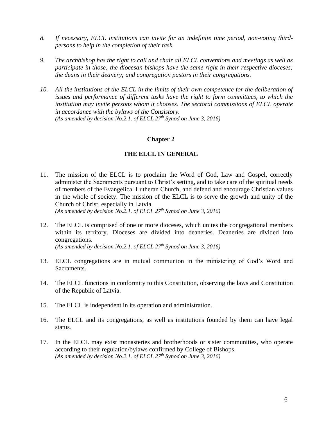- *8. If necessary, ELCL institutions can invite for an indefinite time period, non-voting thirdpersons to help in the completion of their task.*
- *9. The archbishop has the right to call and chair all ELCL conventions and meetings as well as participate in those; the diocesan bishops have the same right in their respective dioceses; the deans in their deanery; and congregation pastors in their congregations.*
- *10. All the institutions of the ELCL in the limits of their own competence for the deliberation of issues and performance of different tasks have the right to form committees, to which the institution may invite persons whom it chooses. The sectoral commissions of ELCL operate in accordance with the bylaws of the Consistory. (As amended by decision No.2.1. of ELCL 27th Synod on June 3, 2016)*

#### **Chapter 2**

#### **THE ELCL IN GENERAL**

11. The mission of the ELCL is to proclaim the Word of God, Law and Gospel, correctly administer the Sacraments pursuant to Christ's setting, and to take care of the spiritual needs of members of the Evangelical Lutheran Church, and defend and encourage Christian values in the whole of society. The mission of the ELCL is to serve the growth and unity of the Church of Christ, especially in Latvia.

*(As amended by decision No.2.1. of ELCL 27th Synod on June 3, 2016)*

12. The ELCL is comprised of one or more dioceses, which unites the congregational members within its territory. Dioceses are divided into deaneries. Deaneries are divided into congregations.

*(As amended by decision No.2.1. of ELCL 27th Synod on June 3, 2016)*

- 13. ELCL congregations are in mutual communion in the ministering of God's Word and Sacraments.
- 14. The ELCL functions in conformity to this Constitution, observing the laws and Constitution of the Republic of Latvia.
- 15. The ELCL is independent in its operation and administration.
- 16. The ELCL and its congregations, as well as institutions founded by them can have legal status.
- 17. In the ELCL may exist monasteries and brotherhoods or sister communities, who operate according to their regulation/bylaws confirmed by College of Bishops. *(As amended by decision No.2.1. of ELCL 27th Synod on June 3, 2016)*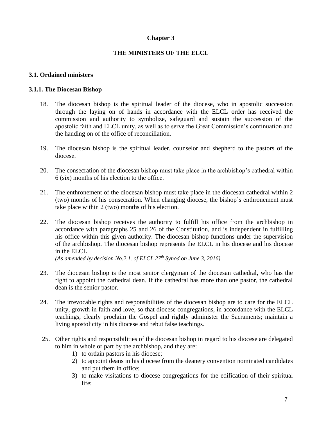## **Chapter 3**

## **THE MINISTERS OF THE ELCL**

#### **3.1. Ordained ministers**

#### **3.1.1. The Diocesan Bishop**

- 18. The diocesan bishop is the spiritual leader of the diocese, who in apostolic succession through the laying on of hands in accordance with the ELCL order has received the commission and authority to symbolize, safeguard and sustain the succession of the apostolic faith and ELCL unity, as well as to serve the Great Commission's continuation and the handing on of the office of reconciliation.
- 19. The diocesan bishop is the spiritual leader, counselor and shepherd to the pastors of the diocese.
- 20. The consecration of the diocesan bishop must take place in the archbishop's cathedral within 6 (six) months of his election to the office.
- 21. The enthronement of the diocesan bishop must take place in the diocesan cathedral within 2 (two) months of his consecration. When changing diocese, the bishop's enthronement must take place within 2 (two) months of his election.
- 22. The diocesan bishop receives the authority to fulfill his office from the archbishop in accordance with paragraphs 25 and 26 of the Constitution, and is independent in fulfilling his office within this given authority. The diocesan bishop functions under the supervision of the archbishop. The diocesan bishop represents the ELCL in his diocese and his diocese in the ELCL.

*(As amended by decision No.2.1. of ELCL 27th Synod on June 3, 2016)*

- 23. The diocesan bishop is the most senior clergyman of the diocesan cathedral, who has the right to appoint the cathedral dean. If the cathedral has more than one pastor, the cathedral dean is the senior pastor.
- 24. The irrevocable rights and responsibilities of the diocesan bishop are to care for the ELCL unity, growth in faith and love, so that diocese congregations, in accordance with the ELCL teachings, clearly proclaim the Gospel and rightly administer the Sacraments; maintain a living apostolicity in his diocese and rebut false teachings.
- 25. Other rights and responsibilities of the diocesan bishop in regard to his diocese are delegated to him in whole or part by the archbishop, and they are:
	- 1) to ordain pastors in his diocese;
	- 2) to appoint deans in his diocese from the deanery convention nominated candidates and put them in office;
	- 3) to make visitations to diocese congregations for the edification of their spiritual life;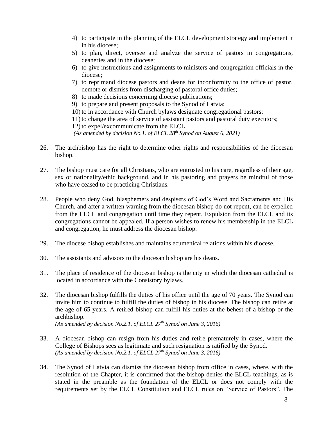- 4) to participate in the planning of the ELCL development strategy and implement it in his diocese;
- 5) to plan, direct, oversee and analyze the service of pastors in congregations, deaneries and in the diocese;
- 6) to give instructions and assignments to ministers and congregation officials in the diocese;
- 7) to reprimand diocese pastors and deans for inconformity to the office of pastor, demote or dismiss from discharging of pastoral office duties;
- 8) to made decisions concerning diocese publications;
- 9) to prepare and present proposals to the Synod of Latvia;
- 10) to in accordance with Church bylaws designate congregational pastors;
- 11) to change the area of service of assistant pastors and pastoral duty executors;

12) to expel/excommunicate from the ELCL.

*(As amended by decision No.1. of ELCL 28 th Synod on August 6, 2021)*

- 26. The archbishop has the right to determine other rights and responsibilities of the diocesan bishop.
- 27. The bishop must care for all Christians, who are entrusted to his care, regardless of their age, sex or nationality/ethic background, and in his pastoring and prayers be mindful of those who have ceased to be practicing Christians.
- 28. People who deny God, blasphemers and despisers of God's Word and Sacraments and His Church, and after a written warning from the diocesan bishop do not repent, can be expelled from the ELCL and congregation until time they repent. Expulsion from the ELCL and its congregations cannot be appealed. If a person wishes to renew his membership in the ELCL and congregation, he must address the diocesan bishop.
- 29. The diocese bishop establishes and maintains ecumenical relations within his diocese.
- 30. The assistants and advisors to the diocesan bishop are his deans.
- 31. The place of residence of the diocesan bishop is the city in which the diocesan cathedral is located in accordance with the Consistory bylaws.
- 32. The diocesan bishop fulfills the duties of his office until the age of 70 years. The Synod can invite him to continue to fulfill the duties of bishop in his diocese. The bishop can retire at the age of 65 years. A retired bishop can fulfill his duties at the behest of a bishop or the archbishop. *(As amended by decision No.2.1. of ELCL 27th Synod on June 3, 2016)*
- 33. A diocesan bishop can resign from his duties and retire prematurely in cases, where the College of Bishops sees as legitimate and such resignation is ratified by the Synod. *(As amended by decision No.2.1. of ELCL 27th Synod on June 3, 2016)*
- 34. The Synod of Latvia can dismiss the diocesan bishop from office in cases, where, with the resolution of the Chapter, it is confirmed that the bishop denies the ELCL teachings, as is stated in the preamble as the foundation of the ELCL or does not comply with the requirements set by the ELCL Constitution and ELCL rules on "Service of Pastors". The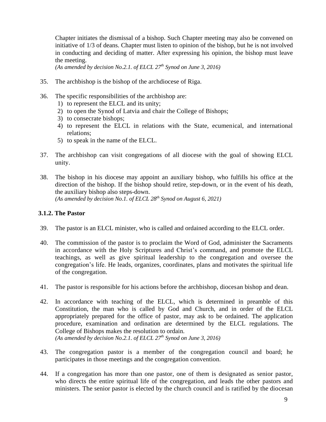Chapter initiates the dismissal of a bishop. Such Chapter meeting may also be convened on initiative of 1/3 of deans. Chapter must listen to opinion of the bishop, but he is not involved in conducting and deciding of matter. After expressing his opinion, the bishop must leave the meeting.

*(As amended by decision No.2.1. of ELCL 27th Synod on June 3, 2016)*

- 35. The archbishop is the bishop of the archdiocese of Riga.
- 36. The specific responsibilities of the archbishop are:
	- 1) to represent the ELCL and its unity;
	- 2) to open the Synod of Latvia and chair the College of Bishops;
	- 3) to consecrate bishops;
	- 4) to represent the ELCL in relations with the State, ecumenical, and international relations;
	- 5) to speak in the name of the ELCL.
- 37. The archbishop can visit congregations of all diocese with the goal of showing ELCL unity.
- 38. The bishop in his diocese may appoint an auxiliary bishop, who fulfills his office at the direction of the bishop. If the bishop should retire, step-down, or in the event of his death, the auxiliary bishop also steps-down. *(As amended by decision No.1. of ELCL 28 th Synod on August 6, 2021)*

#### **3.1.2. The Pastor**

- 39. The pastor is an ELCL minister, who is called and ordained according to the ELCL order.
- 40. The commission of the pastor is to proclaim the Word of God, administer the Sacraments in accordance with the Holy Scriptures and Christ's command, and promote the ELCL teachings, as well as give spiritual leadership to the congregation and oversee the congregation's life. He leads, organizes, coordinates, plans and motivates the spiritual life of the congregation.
- 41. The pastor is responsible for his actions before the archbishop, diocesan bishop and dean.
- 42. In accordance with teaching of the ELCL, which is determined in preamble of this Constitution, the man who is called by God and Church, and in order of the ELCL appropriately prepared for the office of pastor, may ask to be ordained. The application procedure, examination and ordination are determined by the ELCL regulations. The College of Bishops makes the resolution to ordain. *(As amended by decision No.2.1. of ELCL 27th Synod on June 3, 2016)*
- 43. The congregation pastor is a member of the congregation council and board; he participates in those meetings and the congregation convention.
- 44. If a congregation has more than one pastor, one of them is designated as senior pastor, who directs the entire spiritual life of the congregation, and leads the other pastors and ministers. The senior pastor is elected by the church council and is ratified by the diocesan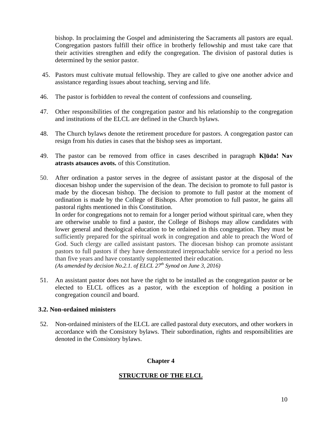bishop. In proclaiming the Gospel and administering the Sacraments all pastors are equal. Congregation pastors fulfill their office in brotherly fellowship and must take care that their activities strengthen and edify the congregation. The division of pastoral duties is determined by the senior pastor.

- 45. Pastors must cultivate mutual fellowship. They are called to give one another advice and assistance regarding issues about teaching, serving and life.
- 46. The pastor is forbidden to reveal the content of confessions and counseling.
- 47. Other responsibilities of the congregation pastor and his relationship to the congregation and institutions of the ELCL are defined in the Church bylaws.
- 48. The Church bylaws denote the retirement procedure for pastors. A congregation pastor can resign from his duties in cases that the bishop sees as important.
- 49. The pastor can be removed from office in cases described in paragraph **Kļūda! Nav atrasts atsauces avots.** of this Constitution.
- 50. After ordination a pastor serves in the degree of assistant pastor at the disposal of the diocesan bishop under the supervision of the dean. The decision to promote to full pastor is made by the diocesan bishop. The decision to promote to full pastor at the moment of ordination is made by the College of Bishops. After promotion to full pastor, he gains all pastoral rights mentioned in this Constitution.

In order for congregations not to remain for a longer period without spiritual care, when they are otherwise unable to find a pastor, the College of Bishops may allow candidates with lower general and theological education to be ordained in this congregation. They must be sufficiently prepared for the spiritual work in congregation and able to preach the Word of God. Such clergy are called assistant pastors. The diocesan bishop can promote assistant pastors to full pastors if they have demonstrated irreproachable service for a period no less than five years and have constantly supplemented their education. *(As amended by decision No.2.1. of ELCL 27th Synod on June 3, 2016)*

51. An assistant pastor does not have the right to be installed as the congregation pastor or be elected to ELCL offices as a pastor, with the exception of holding a position in congregation council and board.

# **3.2. Non-ordained ministers**

52. Non-ordained ministers of the ELCL are called pastoral duty executors, and other workers in accordance with the Consistory bylaws. Their subordination, rights and responsibilities are denoted in the Consistory bylaws.

# **Chapter 4**

# **STRUCTURE OF THE ELCL**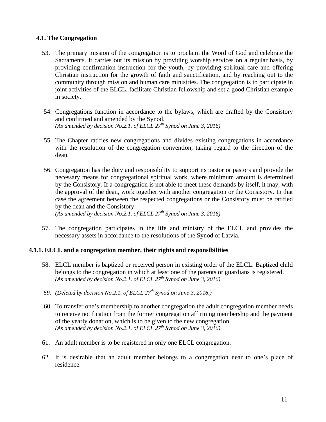# **4.1. The Congregation**

- 53. The primary mission of the congregation is to proclaim the Word of God and celebrate the Sacraments. It carries out its mission by providing worship services on a regular basis, by providing confirmation instruction for the youth, by providing spiritual care and offering Christian instruction for the growth of faith and sanctification, and by reaching out to the community through mission and human care ministries. The congregation is to participate in joint activities of the ELCL, facilitate Christian fellowship and set a good Christian example in society.
- 54. Congregations function in accordance to the bylaws, which are drafted by the Consistory and confirmed and amended by the Synod. *(As amended by decision No.2.1. of ELCL 27th Synod on June 3, 2016)*
- 55. The Chapter ratifies new congregations and divides existing congregations in accordance with the resolution of the congregation convention, taking regard to the direction of the dean.
- 56. Congregation has the duty and responsibility to support its pastor or pastors and provide the necessary means for congregational spiritual work, where minimum amount is determined by the Consistory. If a congregation is not able to meet these demands by itself, it may, with the approval of the dean, work together with another congregation or the Consistory. In that case the agreement between the respected congregations or the Consistory must be ratified by the dean and the Consistory.

*(As amended by decision No.2.1. of ELCL 27th Synod on June 3, 2016)*

57. The congregation participates in the life and ministry of the ELCL and provides the necessary assets in accordance to the resolutions of the Synod of Latvia.

# **4.1.1. ELCL and a congregation member, their rights and responsibilities**

- 58. ELCL member is baptized or received person in existing order of the ELCL. Baptized child belongs to the congregation in which at least one of the parents or guardians is registered. *(As amended by decision No.2.1. of ELCL 27th Synod on June 3, 2016)*
- *59. (Deleted by decision No.2.1. of ELCL 27th Synod on June 3, 2016.)*
- 60. To transfer one's membership to another congregation the adult congregation member needs to receive notification from the former congregation affirming membership and the payment of the yearly donation, which is to be given to the new congregation. *(As amended by decision No.2.1. of ELCL 27th Synod on June 3, 2016)*
- 61. An adult member is to be registered in only one ELCL congregation.
- 62. It is desirable that an adult member belongs to a congregation near to one's place of residence.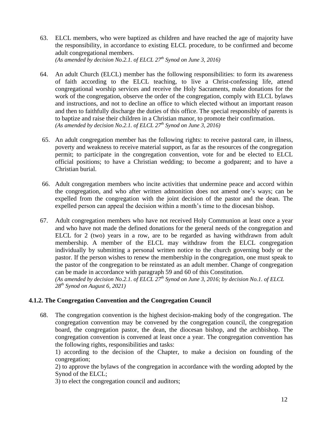63. ELCL members, who were baptized as children and have reached the age of majority have the responsibility, in accordance to existing ELCL procedure, to be confirmed and become adult congregational members.

*(As amended by decision No.2.1. of ELCL 27th Synod on June 3, 2016)*

- 64. An adult Church (ELCL) member has the following responsibilities: to form its awareness of faith according to the ELCL teaching, to live a Christ-confessing life, attend congregational worship services and receive the Holy Sacraments, make donations for the work of the congregation, observe the order of the congregation, comply with ELCL bylaws and instructions, and not to decline an office to which elected without an important reason and then to faithfully discharge the duties of this office. The special responsibly of parents is to baptize and raise their children in a Christian manor, to promote their confirmation. *(As amended by decision No.2.1. of ELCL 27th Synod on June 3, 2016)*
- 65. An adult congregation member has the following rights: to receive pastoral care, in illness, poverty and weakness to receive material support, as far as the resources of the congregation permit; to participate in the congregation convention, vote for and be elected to ELCL official positions; to have a Christian wedding; to become a godparent; and to have a Christian burial.
- 66. Adult congregation members who incite activities that undermine peace and accord within the congregation, and who after written admonition does not amend one's ways; can be expelled from the congregation with the joint decision of the pastor and the dean. The expelled person can appeal the decision within a month's time to the diocesan bishop.
- 67. Adult congregation members who have not received Holy Communion at least once a year and who have not made the defined donations for the general needs of the congregation and ELCL for 2 (two) years in a row, are to be regarded as having withdrawn from adult membership. A member of the ELCL may withdraw from the ELCL congregation individually by submitting a personal written notice to the church governing body or the pastor. If the person wishes to renew the membership in the congregation, one must speak to the pastor of the congregation to be reinstated as an adult member. Change of congregation can be made in accordance with paragraph 59 and 60 of this Constitution. *(As amended by decision No.2.1. of ELCL 27th Synod on June 3, 2016; by decision No.1. of ELCL 28 th Synod on August 6, 2021)*

# **4.1.2. The Congregation Convention and the Congregation Council**

68. The congregation convention is the highest decision-making body of the congregation. The congregation convention may be convened by the congregation council, the congregation board, the congregation pastor, the dean, the diocesan bishop, and the archbishop. The congregation convention is convened at least once a year. The congregation convention has the following rights, responsibilities and tasks:

1) according to the decision of the Chapter, to make a decision on founding of the congregation;

2) to approve the bylaws of the congregation in accordance with the wording adopted by the Synod of the ELCL;

3) to elect the congregation council and auditors;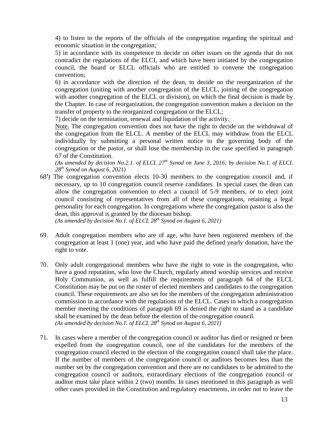4) to listen to the reports of the officials of the congregation regarding the spiritual and economic situation in the congregation;

5) in accordance with its competence to decide on other issues on the agenda that do not contradict the regulations of the ELCL and which have been initiated by the congregation council, the board or ELCL officials who are entitled to convene the congregation convention;

6) in accordance with the direction of the dean, to decide on the reorganization of the congregation (uniting with another congregation of the ELCL, joining of the congregation with another congregation of the ELCL or division), on which the final decision is made by the Chapter. In case of reorganization, the congregation convention makes a decision on the transfer of property to the reorganized congregation or the ELCL;

7) decide on the termination, renewal and liquidation of the activity.

Note. The congregation convention does not have the right to decide on the withdrawal of the congregation from the ELCL. A member of the ELCL may withdraw from the ELCL individually by submitting a personal written notice to the governing body of the congregation or the pastor, or shall lose the membership in the case specified in paragraph 67 of the Constitution.

*(As amended by decision No.2.1. of ELCL 27th Synod on June 3, 2016; by decision No.1. of ELCL 28 th Synod on August 6, 2021)*

 $68<sup>1</sup>$ ) The congregation convention elects 10-30 members to the congregation council and, if necessary, up to 10 congregation council reserve candidates. In special cases the dean can allow the congregation convention to elect a council of 5-9 members, or to elect joint council consisting of representatives from all of these congregations, retaining a legal personality for each congregation. In congregations where the congregation pastor is also the dean, this approval is granted by the diocesan bishop.

*(As amended by decision No.1. of ELCL 28 th Synod on August 6, 2021)*

- 69. Adult congregation members who are of age, who have been registered members of the congregation at least 1 (one) year, and who have paid the defined yearly donation, have the right to vote.
- 70. Only adult congregational members who have the right to vote in the congregation, who have a good reputation, who love the Church, regularly attend worship services and receive Holy Communion, as well as fulfill the requirements of paragraph 64 of the ELCL Constitution may be put on the roster of elected members and candidates to the congregation council. These requirements are also set for the members of the congregation administration commission in accordance with the regulations of the ELCL. Cases in which a congregation member meeting the conditions of paragraph 69 is denied the right to stand as a candidate shall be examined by the dean before the election of the congregation council. *(As amended by decision No.1. of ELCL 28 th Synod on August 6, 2021)*
- 71. In cases where a member of the congregation council or auditor has died or resigned or been expelled from the congregation council, one of the candidates for the members of the congregation council elected in the election of the congregation council shall take the place. If the number of members of the congregation council or auditors becomes less than the number set by the congregation convention and there are no candidates to be admitted to the congregation council or auditors, extraordinary elections of the congregation council or auditor must take place within 2 (two) months. In cases mentioned in this paragraph as well other cases provided in the Constitution and regulatory enactments, in order not to leave the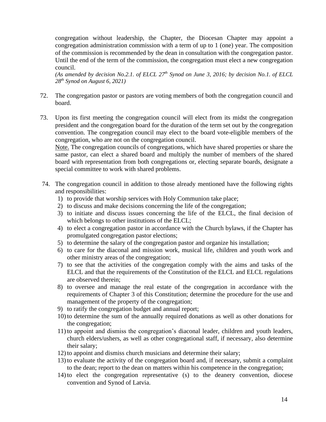congregation without leadership, the Chapter, the Diocesan Chapter may appoint a congregation administration commission with a term of up to 1 (one) year. The composition of the commission is recommended by the dean in consultation with the congregation pastor. Until the end of the term of the commission, the congregation must elect a new congregation council.

*(As amended by decision No.2.1. of ELCL 27th Synod on June 3, 2016; by decision No.1. of ELCL 28 th Synod on August 6, 2021)*

- 72. The congregation pastor or pastors are voting members of both the congregation council and board.
- 73. Upon its first meeting the congregation council will elect from its midst the congregation president and the congregation board for the duration of the term set out by the congregation convention. The congregation council may elect to the board vote-eligible members of the congregation, who are not on the congregation council.

Note. The congregation councils of congregations, which have shared properties or share the same pastor, can elect a shared board and multiply the number of members of the shared board with representation from both congregations or, electing separate boards, designate a special committee to work with shared problems.

- 74. The congregation council in addition to those already mentioned have the following rights and responsibilities:
	- 1) to provide that worship services with Holy Communion take place;
	- 2) to discuss and make decisions concerning the life of the congregation;
	- 3) to initiate and discuss issues concerning the life of the ELCL, the final decision of which belongs to other institutions of the ELCL;
	- 4) to elect a congregation pastor in accordance with the Church bylaws, if the Chapter has promulgated congregation pastor elections;
	- 5) to determine the salary of the congregation pastor and organize his installation;
	- 6) to care for the diaconal and mission work, musical life, children and youth work and other ministry areas of the congregation;
	- 7) to see that the activities of the congregation comply with the aims and tasks of the ELCL and that the requirements of the Constitution of the ELCL and ELCL regulations are observed therein;
	- 8) to oversee and manage the real estate of the congregation in accordance with the requirements of Chapter 3 of this Constitution; determine the procedure for the use and management of the property of the congregation;
	- 9) to ratify the congregation budget and annual report;
	- 10) to determine the sum of the annually required donations as well as other donations for the congregation;
	- 11) to appoint and dismiss the congregation's diaconal leader, children and youth leaders, church elders/ushers, as well as other congregational staff, if necessary, also determine their salary;
	- 12) to appoint and dismiss church musicians and determine their salary;
	- 13) to evaluate the activity of the congregation board and, if necessary, submit a complaint to the dean; report to the dean on matters within his competence in the congregation;
	- 14) to elect the congregation representative (s) to the deanery convention, diocese convention and Synod of Latvia.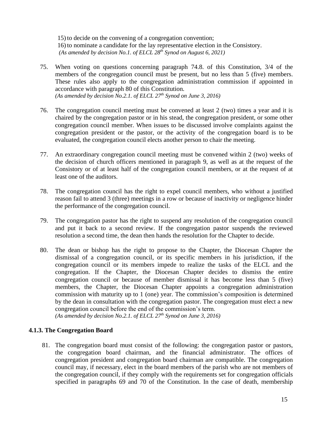15) to decide on the convening of a congregation convention; 16) to nominate a candidate for the lay representative election in the Consistory. *(As amended by decision No.1. of ELCL 28 th Synod on August 6, 2021)*

- 75. When voting on questions concerning paragraph 74.8. of this Constitution, 3/4 of the members of the congregation council must be present, but no less than 5 (five) members. These rules also apply to the congregation administration commission if appointed in accordance with paragraph 80 of this Constitution. *(As amended by decision No.2.1. of ELCL 27th Synod on June 3, 2016)*
- 76. The congregation council meeting must be convened at least 2 (two) times a year and it is chaired by the congregation pastor or in his stead, the congregation president, or some other congregation council member. When issues to be discussed involve complaints against the congregation president or the pastor, or the activity of the congregation board is to be evaluated, the congregation council elects another person to chair the meeting.
- 77. An extraordinary congregation council meeting must be convened within 2 (two) weeks of the decision of church officers mentioned in paragraph 9, as well as at the request of the Consistory or of at least half of the congregation council members, or at the request of at least one of the auditors.
- 78. The congregation council has the right to expel council members, who without a justified reason fail to attend 3 (three) meetings in a row or because of inactivity or negligence hinder the performance of the congregation council.
- 79. The congregation pastor has the right to suspend any resolution of the congregation council and put it back to a second review. If the congregation pastor suspends the reviewed resolution a second time, the dean then hands the resolution for the Chapter to decide.
- 80. The dean or bishop has the right to propose to the Chapter, the Diocesan Chapter the dismissal of a congregation council, or its specific members in his jurisdiction, if the congregation council or its members impede to realize the tasks of the ELCL and the congregation. If the Chapter, the Diocesan Chapter decides to dismiss the entire congregation council or because of member dismissal it has become less than 5 (five) members, the Chapter, the Diocesan Chapter appoints a congregation administration commission with maturity up to 1 (one) year. The commission's composition is determined by the dean in consultation with the congregation pastor. The congregation must elect a new congregation council before the end of the commission's term. *(As amended by decision No.2.1. of ELCL 27th Synod on June 3, 2016)*

#### **4.1.3. The Congregation Board**

81. The congregation board must consist of the following: the congregation pastor or pastors, the congregation board chairman, and the financial administrator. The offices of congregation president and congregation board chairman are compatible. The congregation council may, if necessary, elect in the board members of the parish who are not members of the congregation council, if they comply with the requirements set for congregation officials specified in paragraphs 69 and 70 of the Constitution. In the case of death, membership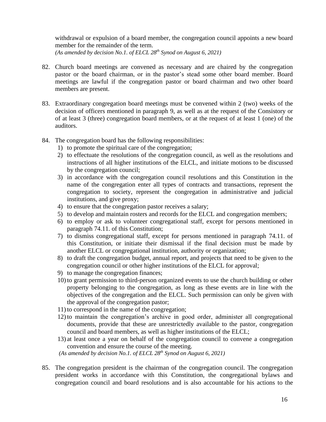withdrawal or expulsion of a board member, the congregation council appoints a new board member for the remainder of the term. *(As amended by decision No.1. of ELCL 28 th Synod on August 6, 2021)*

- 82. Church board meetings are convened as necessary and are chaired by the congregation pastor or the board chairman, or in the pastor's stead some other board member. Board meetings are lawful if the congregation pastor or board chairman and two other board members are present.
- 83. Extraordinary congregation board meetings must be convened within 2 (two) weeks of the decision of officers mentioned in paragraph 9, as well as at the request of the Consistory or of at least 3 (three) congregation board members, or at the request of at least 1 (one) of the auditors.
- 84. The congregation board has the following responsibilities:
	- 1) to promote the spiritual care of the congregation;
	- 2) to effectuate the resolutions of the congregation council, as well as the resolutions and instructions of all higher institutions of the ELCL, and initiate motions to be discussed by the congregation council;
	- 3) in accordance with the congregation council resolutions and this Constitution in the name of the congregation enter all types of contracts and transactions, represent the congregation to society, represent the congregation in administrative and judicial institutions, and give proxy;
	- 4) to ensure that the congregation pastor receives a salary;
	- 5) to develop and maintain rosters and records for the ELCL and congregation members;
	- 6) to employ or ask to volunteer congregational staff, except for persons mentioned in paragraph 74.11. of this Constitution;
	- 7) to dismiss congregational staff, except for persons mentioned in paragraph 74.11. of this Constitution, or initiate their dismissal if the final decision must be made by another ELCL or congregational institution, authority or organization;
	- 8) to draft the congregation budget, annual report, and projects that need to be given to the congregation council or other higher institutions of the ELCL for approval;
	- 9) to manage the congregation finances;
	- 10) to grant permission to third-person organized events to use the church building or other property belonging to the congregation, as long as these events are in line with the objectives of the congregation and the ELCL. Such permission can only be given with the approval of the congregation pastor;
	- 11) to correspond in the name of the congregation;
	- 12) to maintain the congregation's archive in good order, administer all congregational documents, provide that these are unrestrictedly available to the pastor, congregation council and board members, as well as higher institutions of the ELCL;
	- 13) at least once a year on behalf of the congregation council to convene a congregation convention and ensure the course of the meeting.

*(As amended by decision No.1. of ELCL 28 th Synod on August 6, 2021)*

85. The congregation president is the chairman of the congregation council. The congregation president works in accordance with this Constitution, the congregational bylaws and congregation council and board resolutions and is also accountable for his actions to the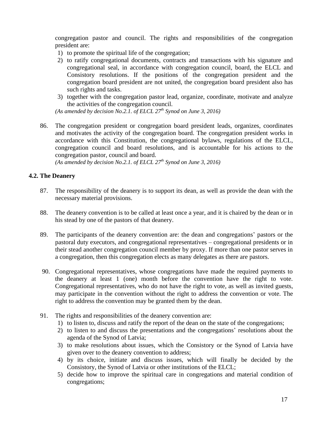congregation pastor and council. The rights and responsibilities of the congregation president are:

- 1) to promote the spiritual life of the congregation;
- 2) to ratify congregational documents, contracts and transactions with his signature and congregational seal, in accordance with congregation council, board, the ELCL and Consistory resolutions. If the positions of the congregation president and the congregation board president are not united, the congregation board president also has such rights and tasks.
- 3) together with the congregation pastor lead, organize, coordinate, motivate and analyze the activities of the congregation council.

*(As amended by decision No.2.1. of ELCL 27th Synod on June 3, 2016)*

86. The congregation president or congregation board president leads, organizes, coordinates and motivates the activity of the congregation board. The congregation president works in accordance with this Constitution, the congregational bylaws, regulations of the ELCL, congregation council and board resolutions, and is accountable for his actions to the congregation pastor, council and board.

*(As amended by decision No.2.1. of ELCL 27th Synod on June 3, 2016)*

## **4.2. The Deanery**

- 87. The responsibility of the deanery is to support its dean, as well as provide the dean with the necessary material provisions.
- 88. The deanery convention is to be called at least once a year, and it is chaired by the dean or in his stead by one of the pastors of that deanery.
- 89. The participants of the deanery convention are: the dean and congregations' pastors or the pastoral duty executors, and congregational representatives – congregational presidents or in their stead another congregation council member by proxy. If more than one pastor serves in a congregation, then this congregation elects as many delegates as there are pastors.
- 90. Congregational representatives, whose congregations have made the required payments to the deanery at least 1 (one) month before the convention have the right to vote. Congregational representatives, who do not have the right to vote, as well as invited guests, may participate in the convention without the right to address the convention or vote. The right to address the convention may be granted them by the dean.
- 91. The rights and responsibilities of the deanery convention are:
	- 1) to listen to, discuss and ratify the report of the dean on the state of the congregations;
	- 2) to listen to and discuss the presentations and the congregations' resolutions about the agenda of the Synod of Latvia;
	- 3) to make resolutions about issues, which the Consistory or the Synod of Latvia have given over to the deanery convention to address;
	- 4) by its choice, initiate and discuss issues, which will finally be decided by the Consistory, the Synod of Latvia or other institutions of the ELCL;
	- 5) decide how to improve the spiritual care in congregations and material condition of congregations;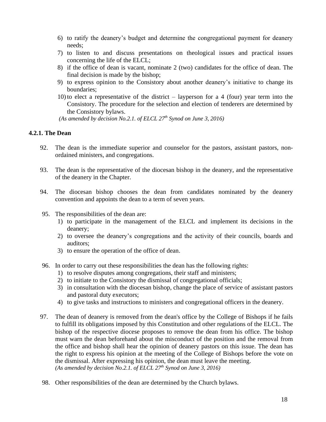- 6) to ratify the deanery's budget and determine the congregational payment for deanery needs;
- 7) to listen to and discuss presentations on theological issues and practical issues concerning the life of the ELCL;
- 8) if the office of dean is vacant, nominate 2 (two) candidates for the office of dean. The final decision is made by the bishop;
- 9) to express opinion to the Consistory about another deanery's initiative to change its boundaries;
- 10) to elect a representative of the district layperson for a 4 (four) year term into the Consistory. The procedure for the selection and election of tenderers are determined by the Consistory bylaws.

*(As amended by decision No.2.1. of ELCL 27th Synod on June 3, 2016)*

## **4.2.1. The Dean**

- 92. The dean is the immediate superior and counselor for the pastors, assistant pastors, nonordained ministers, and congregations.
- 93. The dean is the representative of the diocesan bishop in the deanery, and the representative of the deanery in the Chapter.
- 94. The diocesan bishop chooses the dean from candidates nominated by the deanery convention and appoints the dean to a term of seven years.
- 95. The responsibilities of the dean are:
	- 1) to participate in the management of the ELCL and implement its decisions in the deanery;
	- 2) to oversee the deanery's congregations and the activity of their councils, boards and auditors;
	- 3) to ensure the operation of the office of dean.
- 96. In order to carry out these responsibilities the dean has the following rights:
	- 1) to resolve disputes among congregations, their staff and ministers;
	- 2) to initiate to the Consistory the dismissal of congregational officials;
	- 3) in consultation with the diocesan bishop, change the place of service of assistant pastors and pastoral duty executors;
	- 4) to give tasks and instructions to ministers and congregational officers in the deanery.
- 97. The dean of deanery is removed from the dean's office by the College of Bishops if he fails to fulfill its obligations imposed by this Constitution and other regulations of the ELCL. The bishop of the respective diocese proposes to remove the dean from his office. The bishop must warn the dean beforehand about the misconduct of the position and the removal from the office and bishop shall hear the opinion of deanery pastors on this issue. The dean has the right to express his opinion at the meeting of the College of Bishops before the vote on the dismissal. After expressing his opinion, the dean must leave the meeting. *(As amended by decision No.2.1. of ELCL 27th Synod on June 3, 2016)*
- 98. Other responsibilities of the dean are determined by the Church bylaws.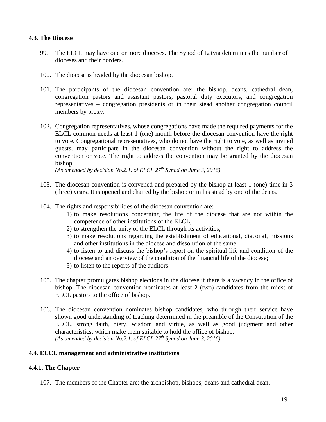## **4.3. The Diocese**

- 99. The ELCL may have one or more dioceses. The Synod of Latvia determines the number of dioceses and their borders.
- 100. The diocese is headed by the diocesan bishop.
- 101. The participants of the diocesan convention are: the bishop, deans, cathedral dean, congregation pastors and assistant pastors, pastoral duty executors, and congregation representatives – congregation presidents or in their stead another congregation council members by proxy.
- 102. Congregation representatives, whose congregations have made the required payments for the ELCL common needs at least 1 (one) month before the diocesan convention have the right to vote. Congregational representatives, who do not have the right to vote, as well as invited guests, may participate in the diocesan convention without the right to address the convention or vote. The right to address the convention may be granted by the diocesan bishop.

*(As amended by decision No.2.1. of ELCL 27th Synod on June 3, 2016)*

- 103. The diocesan convention is convened and prepared by the bishop at least 1 (one) time in 3 (three) years. It is opened and chaired by the bishop or in his stead by one of the deans.
- 104. The rights and responsibilities of the diocesan convention are:
	- 1) to make resolutions concerning the life of the diocese that are not within the competence of other institutions of the ELCL;
	- 2) to strengthen the unity of the ELCL through its activities;
	- 3) to make resolutions regarding the establishment of educational, diaconal, missions and other institutions in the diocese and dissolution of the same.
	- 4) to listen to and discuss the bishop's report on the spiritual life and condition of the diocese and an overview of the condition of the financial life of the diocese;
	- 5) to listen to the reports of the auditors.
- 105. The chapter promulgates bishop elections in the diocese if there is a vacancy in the office of bishop. The diocesan convention nominates at least 2 (two) candidates from the midst of ELCL pastors to the office of bishop.
- 106. The diocesan convention nominates bishop candidates, who through their service have shown good understanding of teaching determined in the preamble of the Constitution of the ELCL, strong faith, piety, wisdom and virtue, as well as good judgment and other characteristics, which make them suitable to hold the office of bishop. *(As amended by decision No.2.1. of ELCL 27th Synod on June 3, 2016)*

# **4.4. ELCL management and administrative institutions**

# **4.4.1. The Chapter**

107. The members of the Chapter are: the archbishop, bishops, deans and cathedral dean.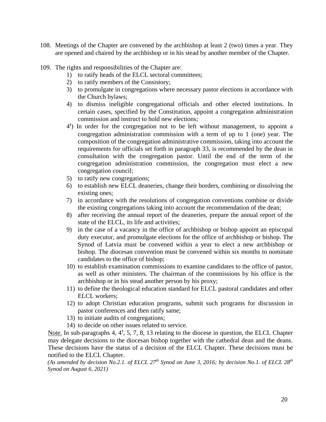- 108. Meetings of the Chapter are convened by the archbishop at least 2 (two) times a year. They are opened and chaired by the archbishop or in his stead by another member of the Chapter.
- 109. The rights and responsibilities of the Chapter are:
	- 1) to ratify heads of the ELCL sectoral committees;
	- 2) to ratify members of the Consistory;
	- 3) to promulgate in congregations where necessary pastor elections in accordance with the Church bylaws;
	- 4) to dismiss ineligible congregational officials and other elected institutions. In certain cases, specified by the Constitution, appoint a congregation administration commission and instruct to hold new elections;
	- 4<sup>1</sup>) In order for the congregation not to be left without management, to appoint a congregation administration commission with a term of up to 1 (one) year. The composition of the congregation administrative commission, taking into account the requirements for officials set forth in paragraph 33, is recommended by the dean in consultation with the congregation pastor. Until the end of the term of the congregation administration commission, the congregation must elect a new congregation council;
	- 5) to ratify new congregations;
	- 6) to establish new ELCL deaneries, change their borders, combining or dissolving the existing ones;
	- 7) in accordance with the resolutions of congregation conventions combine or divide the existing congregations taking into account the recommendation of the dean;
	- 8) after receiving the annual report of the deaneries, prepare the annual report of the state of the ELCL, its life and activities;
	- 9) in the case of a vacancy in the office of archbishop or bishop appoint an episcopal duty executor, and promulgate elections for the office of archbishop or bishop. The Synod of Latvia must be convened within a year to elect a new archbishop or bishop. The diocesan convention must be convened within six months to nominate candidates to the office of bishop;
	- 10) to establish examination commissions to examine candidates to the office of pastor, as well as other ministers. The chairman of the commissions by his office is the archbishop or in his stead another person by his proxy;
	- 11) to define the theological education standard for ELCL pastoral candidates and other ELCL workers;
	- 12) to adopt Christian education programs, submit such programs for discussion in pastor conferences and then ratify same;
	- 13) to initiate audits of congregations;
	- 14) to decide on other issues related to service.

Note. In sub-paragraphs 4,  $4<sup>1</sup>$ , 5, 7, 8, 13 relating to the diocese in question, the ELCL Chapter may delegate decisions to the diocesan bishop together with the cathedral dean and the deans. These decisions have the status of a decision of the ELCL Chapter. These decisions must be notified to the ELCL Chapter.

*(As amended by decision No.2.1. of ELCL 27th Synod on June 3, 2016; by decision No.1. of ELCL 28 th Synod on August 6, 2021)*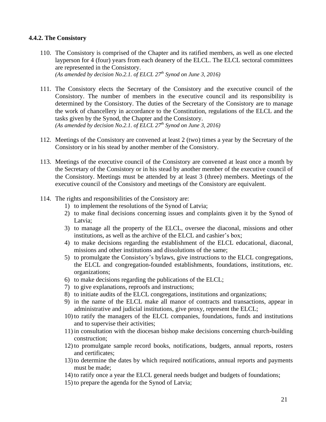## **4.4.2. The Consistory**

- 110. The Consistory is comprised of the Chapter and its ratified members, as well as one elected layperson for 4 (four) years from each deanery of the ELCL. The ELCL sectoral committees are represented in the Consistory. *(As amended by decision No.2.1. of ELCL 27th Synod on June 3, 2016)*
- 111. The Consistory elects the Secretary of the Consistory and the executive council of the Consistory. The number of members in the executive council and its responsibility is determined by the Consistory. The duties of the Secretary of the Consistory are to manage the work of chancellery in accordance to the Constitution, regulations of the ELCL and the tasks given by the Synod, the Chapter and the Consistory. *(As amended by decision No.2.1. of ELCL 27th Synod on June 3, 2016)*
- 112. Meetings of the Consistory are convened at least 2 (two) times a year by the Secretary of the Consistory or in his stead by another member of the Consistory.
- 113. Meetings of the executive council of the Consistory are convened at least once a month by the Secretary of the Consistory or in his stead by another member of the executive council of the Consistory. Meetings must be attended by at least 3 (three) members. Meetings of the executive council of the Consistory and meetings of the Consistory are equivalent.
- 114. The rights and responsibilities of the Consistory are:
	- 1) to implement the resolutions of the Synod of Latvia;
	- 2) to make final decisions concerning issues and complaints given it by the Synod of Latvia;
	- 3) to manage all the property of the ELCL, oversee the diaconal, missions and other institutions, as well as the archive of the ELCL and cashier's box;
	- 4) to make decisions regarding the establishment of the ELCL educational, diaconal, missions and other institutions and dissolutions of the same;
	- 5) to promulgate the Consistory's bylaws, give instructions to the ELCL congregations, the ELCL and congregation-founded establishments, foundations, institutions, etc. organizations;
	- 6) to make decisions regarding the publications of the ELCL;
	- 7) to give explanations, reproofs and instructions;
	- 8) to initiate audits of the ELCL congregations, institutions and organizations;
	- 9) in the name of the ELCL make all manor of contracts and transactions, appear in administrative and judicial institutions, give proxy, represent the ELCL;
	- 10) to ratify the managers of the ELCL companies, foundations, funds and institutions and to supervise their activities;
	- 11) in consultation with the diocesan bishop make decisions concerning church-building construction;
	- 12) to promulgate sample record books, notifications, budgets, annual reports, rosters and certificates;
	- 13) to determine the dates by which required notifications, annual reports and payments must be made;
	- 14) to ratify once a year the ELCL general needs budget and budgets of foundations;
	- 15) to prepare the agenda for the Synod of Latvia;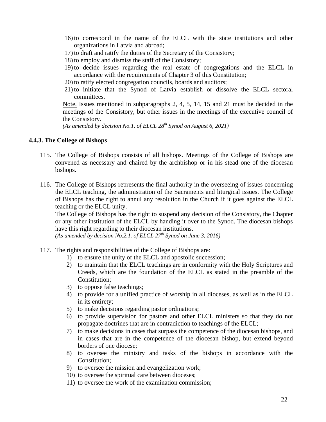- 16) to correspond in the name of the ELCL with the state institutions and other organizations in Latvia and abroad;
- 17) to draft and ratify the duties of the Secretary of the Consistory;
- 18) to employ and dismiss the staff of the Consistory;
- 19) to decide issues regarding the real estate of congregations and the ELCL in accordance with the requirements of Chapter 3 of this Constitution;
- 20) to ratify elected congregation councils, boards and auditors;
- 21) to initiate that the Synod of Latvia establish or dissolve the ELCL sectoral committees.

Note. Issues mentioned in subparagraphs 2, 4, 5, 14, 15 and 21 must be decided in the meetings of the Consistory, but other issues in the meetings of the executive council of the Consistory.

*(As amended by decision No.1. of ELCL 28 th Synod on August 6, 2021)*

#### **4.4.3. The College of Bishops**

- 115. The College of Bishops consists of all bishops. Meetings of the College of Bishops are convened as necessary and chaired by the archbishop or in his stead one of the diocesan bishops.
- 116. The College of Bishops represents the final authority in the overseeing of issues concerning the ELCL teaching, the administration of the Sacraments and liturgical issues. The College of Bishops has the right to annul any resolution in the Church if it goes against the ELCL teaching or the ELCL unity.

The College of Bishops has the right to suspend any decision of the Consistory, the Chapter or any other institution of the ELCL by handing it over to the Synod. The diocesan bishops have this right regarding to their diocesan institutions.

*(As amended by decision No.2.1. of ELCL 27th Synod on June 3, 2016)*

- 117. The rights and responsibilities of the College of Bishops are:
	- 1) to ensure the unity of the ELCL and apostolic succession;
	- 2) to maintain that the ELCL teachings are in conformity with the Holy Scriptures and Creeds, which are the foundation of the ELCL as stated in the preamble of the Constitution;
	- 3) to oppose false teachings;
	- 4) to provide for a unified practice of worship in all dioceses, as well as in the ELCL in its entirety;
	- 5) to make decisions regarding pastor ordinations;
	- 6) to provide supervision for pastors and other ELCL ministers so that they do not propagate doctrines that are in contradiction to teachings of the ELCL;
	- 7) to make decisions in cases that surpass the competence of the diocesan bishops, and in cases that are in the competence of the diocesan bishop, but extend beyond borders of one diocese;
	- 8) to oversee the ministry and tasks of the bishops in accordance with the Constitution;
	- 9) to oversee the mission and evangelization work;
	- 10) to oversee the spiritual care between dioceses;
	- 11) to oversee the work of the examination commission;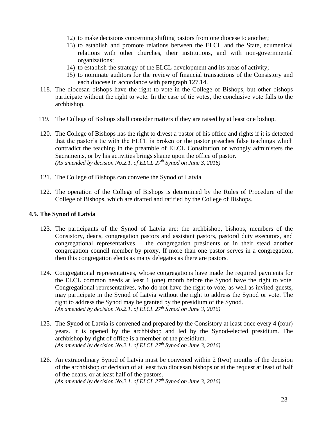- 12) to make decisions concerning shifting pastors from one diocese to another;
- 13) to establish and promote relations between the ELCL and the State, ecumenical relations with other churches, their institutions, and with non-governmental organizations;
- 14) to establish the strategy of the ELCL development and its areas of activity;
- 15) to nominate auditors for the review of financial transactions of the Consistory and each diocese in accordance with paragraph 127.14.
- 118. The diocesan bishops have the right to vote in the College of Bishops, but other bishops participate without the right to vote. In the case of tie votes, the conclusive vote falls to the archbishop.
- 119. The College of Bishops shall consider matters if they are raised by at least one bishop.
- 120. The College of Bishops has the right to divest a pastor of his office and rights if it is detected that the pastor's tie with the ELCL is broken or the pastor preaches false teachings which contradict the teaching in the preamble of ELCL Constitution or wrongly administers the Sacraments, or by his activities brings shame upon the office of pastor. *(As amended by decision No.2.1. of ELCL 27th Synod on June 3, 2016)*
- 121. The College of Bishops can convene the Synod of Latvia.
- 122. The operation of the College of Bishops is determined by the Rules of Procedure of the College of Bishops, which are drafted and ratified by the College of Bishops.

# **4.5. The Synod of Latvia**

- 123. The participants of the Synod of Latvia are: the archbishop, bishops, members of the Consistory, deans, congregation pastors and assistant pastors, pastoral duty executors, and congregational representatives – the congregation presidents or in their stead another congregation council member by proxy. If more than one pastor serves in a congregation, then this congregation elects as many delegates as there are pastors.
- 124. Congregational representatives, whose congregations have made the required payments for the ELCL common needs at least 1 (one) month before the Synod have the right to vote. Congregational representatives, who do not have the right to vote, as well as invited guests, may participate in the Synod of Latvia without the right to address the Synod or vote. The right to address the Synod may be granted by the presidium of the Synod. *(As amended by decision No.2.1. of ELCL 27th Synod on June 3, 2016)*
- 125. The Synod of Latvia is convened and prepared by the Consistory at least once every 4 (four) years. It is opened by the archbishop and led by the Synod-elected presidium. The archbishop by right of office is a member of the presidium. *(As amended by decision No.2.1. of ELCL 27th Synod on June 3, 2016)*
- 126. An extraordinary Synod of Latvia must be convened within 2 (two) months of the decision of the archbishop or decision of at least two diocesan bishops or at the request at least of half of the deans, or at least half of the pastors. *(As amended by decision No.2.1. of ELCL 27th Synod on June 3, 2016)*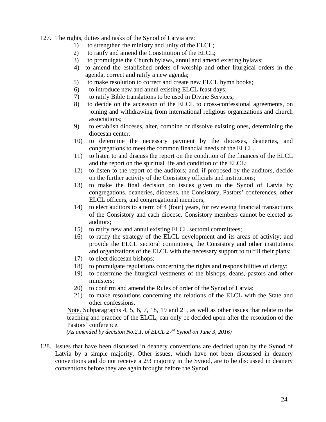127. The rights, duties and tasks of the Synod of Latvia are:

- 1) to strengthen the ministry and unity of the ELCL;
- 2) to ratify and amend the Constitution of the ELCL;
- 3) to promulgate the Church bylaws, annul and amend existing bylaws;
- 4) to amend the established orders of worship and other liturgical orders in the agenda, correct and ratify a new agenda;
- 5) to make resolution to correct and create new ELCL hymn books;
- 6) to introduce new and annul existing ELCL feast days;
- 7) to ratify Bible translations to be used in Divine Services;
- 8) to decide on the accession of the ELCL to cross-confessional agreements, on joining and withdrawing from international religious organizations and church associations;
- 9) to establish dioceses, alter, combine or dissolve existing ones, determining the diocesan center.
- 10) to determine the necessary payment by the dioceses, deaneries, and congregations to meet the common financial needs of the ELCL.
- 11) to listen to and discuss the report on the condition of the finances of the ELCL and the report on the spiritual life and condition of the ELCL;
- 12) to listen to the report of the auditors; and, if proposed by the auditors, decide on the further activity of the Consistory officials and institutions;
- 13) to make the final decision on issues given to the Synod of Latvia by congregations, deaneries, dioceses, the Consistory, Pastors' conferences, other ELCL officers, and congregational members;
- 14) to elect auditors to a term of 4 (four) years, for reviewing financial transactions of the Consistory and each diocese. Consistory members cannot be elected as auditors;
- 15) to ratify new and annul existing ELCL sectoral committees;
- 16) to ratify the strategy of the ELCL development and its areas of activity; and provide the ELCL sectoral committees, the Consistory and other institutions and organizations of the ELCL with the necessary support to fulfill their plans;
- 17) to elect diocesan bishops;
- 18) to promulgate regulations concerning the rights and responsibilities of clergy;
- 19) to determine the liturgical vestments of the bishops, deans, pastors and other ministers;
- 20) to confirm and amend the Rules of order of the Synod of Latvia;
- 21) to make resolutions concerning the relations of the ELCL with the State and other confessions.

Note. Subparagraphs 4, 5, 6, 7, 18, 19 and 21, as well as other issues that relate to the teaching and practice of the ELCL, can only be decided upon after the resolution of the Pastors' conference.

*(As amended by decision No.2.1. of ELCL 27th Synod on June 3, 2016)*

128. Issues that have been discussed in deanery conventions are decided upon by the Synod of Latvia by a simple majority. Other issues, which have not been discussed in deanery conventions and do not receive a 2/3 majority in the Synod, are to be discussed in deanery conventions before they are again brought before the Synod.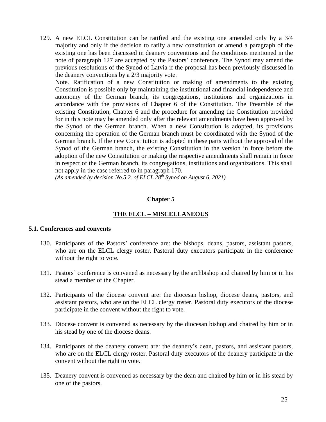129. A new ELCL Constitution can be ratified and the existing one amended only by a 3/4 majority and only if the decision to ratify a new constitution or amend a paragraph of the existing one has been discussed in deanery conventions and the conditions mentioned in the note of paragraph 127 are accepted by the Pastors' conference. The Synod may amend the previous resolutions of the Synod of Latvia if the proposal has been previously discussed in the deanery conventions by a 2/3 majority vote.

Note. Ratification of a new Constitution or making of amendments to the existing Constitution is possible only by maintaining the institutional and financial independence and autonomy of the German branch, its congregations, institutions and organizations in accordance with the provisions of Chapter 6 of the Constitution. The Preamble of the existing Constitution, Chapter 6 and the procedure for amending the Constitution provided for in this note may be amended only after the relevant amendments have been approved by the Synod of the German branch. When a new Constitution is adopted, its provisions concerning the operation of the German branch must be coordinated with the Synod of the German branch. If the new Constitution is adopted in these parts without the approval of the Synod of the German branch, the existing Constitution in the version in force before the adoption of the new Constitution or making the respective amendments shall remain in force in respect of the German branch, its congregations, institutions and organizations. This shall not apply in the case referred to in paragraph 170.

*(As amended by decision No.5.2. of ELCL 28 th Synod on August 6, 2021)*

## **Chapter 5**

# **THE ELCL – MISCELLANEOUS**

#### **5.1. Conferences and convents**

- 130. Participants of the Pastors' conference are: the bishops, deans, pastors, assistant pastors, who are on the ELCL clergy roster. Pastoral duty executors participate in the conference without the right to vote.
- 131. Pastors' conference is convened as necessary by the archbishop and chaired by him or in his stead a member of the Chapter.
- 132. Participants of the diocese convent are: the diocesan bishop, diocese deans, pastors, and assistant pastors, who are on the ELCL clergy roster. Pastoral duty executors of the diocese participate in the convent without the right to vote.
- 133. Diocese convent is convened as necessary by the diocesan bishop and chaired by him or in his stead by one of the diocese deans.
- 134. Participants of the deanery convent are: the deanery's dean, pastors, and assistant pastors, who are on the ELCL clergy roster. Pastoral duty executors of the deanery participate in the convent without the right to vote.
- 135. Deanery convent is convened as necessary by the dean and chaired by him or in his stead by one of the pastors.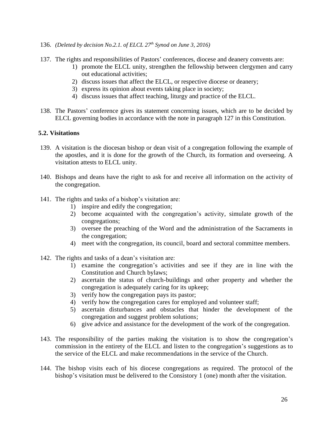- 136. *(Deleted by decision No.2.1. of ELCL 27th Synod on June 3, 2016)*
- 137. The rights and responsibilities of Pastors' conferences, diocese and deanery convents are:
	- 1) promote the ELCL unity, strengthen the fellowship between clergymen and carry out educational activities;
	- 2) discuss issues that affect the ELCL, or respective diocese or deanery;
	- 3) express its opinion about events taking place in society;
	- 4) discuss issues that affect teaching, liturgy and practice of the ELCL.
- 138. The Pastors' conference gives its statement concerning issues, which are to be decided by ELCL governing bodies in accordance with the note in paragraph 127 in this Constitution.

## **5.2. Visitations**

- 139. A visitation is the diocesan bishop or dean visit of a congregation following the example of the apostles, and it is done for the growth of the Church, its formation and overseeing. A visitation attests to ELCL unity.
- 140. Bishops and deans have the right to ask for and receive all information on the activity of the congregation.
- 141. The rights and tasks of a bishop's visitation are:
	- 1) inspire and edify the congregation;
	- 2) become acquainted with the congregation's activity, simulate growth of the congregations;
	- 3) oversee the preaching of the Word and the administration of the Sacraments in the congregation;
	- 4) meet with the congregation, its council, board and sectoral committee members.
- 142. The rights and tasks of a dean's visitation are:
	- 1) examine the congregation's activities and see if they are in line with the Constitution and Church bylaws;
	- 2) ascertain the status of church-buildings and other property and whether the congregation is adequately caring for its upkeep;
	- 3) verify how the congregation pays its pastor;
	- 4) verify how the congregation cares for employed and volunteer staff;
	- 5) ascertain disturbances and obstacles that hinder the development of the congregation and suggest problem solutions;
	- 6) give advice and assistance for the development of the work of the congregation.
- 143. The responsibility of the parties making the visitation is to show the congregation's commission in the entirety of the ELCL and listen to the congregation's suggestions as to the service of the ELCL and make recommendations in the service of the Church.
- 144. The bishop visits each of his diocese congregations as required. The protocol of the bishop's visitation must be delivered to the Consistory 1 (one) month after the visitation.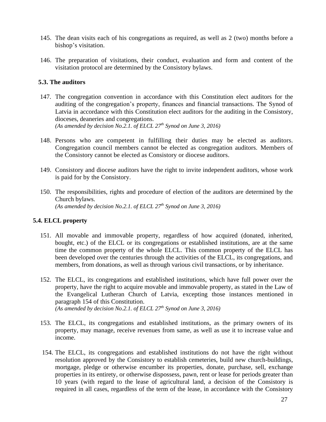- 145. The dean visits each of his congregations as required, as well as 2 (two) months before a bishop's visitation.
- 146. The preparation of visitations, their conduct, evaluation and form and content of the visitation protocol are determined by the Consistory bylaws.

## **5.3. The auditors**

- 147. The congregation convention in accordance with this Constitution elect auditors for the auditing of the congregation's property, finances and financial transactions. The Synod of Latvia in accordance with this Constitution elect auditors for the auditing in the Consistory, dioceses, deaneries and congregations. *(As amended by decision No.2.1. of ELCL 27th Synod on June 3, 2016)*
- 148. Persons who are competent in fulfilling their duties may be elected as auditors. Congregation council members cannot be elected as congregation auditors. Members of the Consistory cannot be elected as Consistory or diocese auditors.
- 149. Consistory and diocese auditors have the right to invite independent auditors, whose work is paid for by the Consistory.
- 150. The responsibilities, rights and procedure of election of the auditors are determined by the Church bylaws. *(As amended by decision No.2.1. of ELCL 27th Synod on June 3, 2016)*

#### **5.4. ELCL property**

- 151. All movable and immovable property, regardless of how acquired (donated, inherited, bought, etc.) of the ELCL or its congregations or established institutions, are at the same time the common property of the whole ELCL. This common property of the ELCL has been developed over the centuries through the activities of the ELCL, its congregations, and members, from donations, as well as through various civil transactions, or by inheritance.
- 152. The ELCL, its congregations and established institutions, which have full power over the property, have the right to acquire movable and immovable property, as stated in the Law of the Evangelical Lutheran Church of Latvia, excepting those instances mentioned in paragraph 154 of this Constitution. *(As amended by decision No.2.1. of ELCL 27th Synod on June 3, 2016)*
- 153. The ELCL, its congregations and established institutions, as the primary owners of its property, may manage, receive revenues from same, as well as use it to increase value and income.
- 154. The ELCL, its congregations and established institutions do not have the right without resolution approved by the Consistory to establish cemeteries, build new church-buildings, mortgage, pledge or otherwise encumber its properties, donate, purchase, sell, exchange properties in its entirety, or otherwise dispossess, pawn, rent or lease for periods greater than 10 years (with regard to the lease of agricultural land, a decision of the Consistory is required in all cases, regardless of the term of the lease, in accordance with the Consistory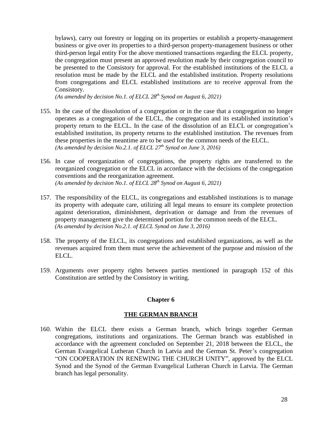bylaws), carry out forestry or logging on its properties or establish a property-management business or give over its properties to a third-person property-management business or other third-person legal entity For the above mentioned transactions regarding the ELCL property, the congregation must present an approved resolution made by their congregation council to be presented to the Consistory for approval. For the established institutions of the ELCL a resolution must be made by the ELCL and the established institution. Property resolutions from congregations and ELCL established institutions are to receive approval from the Consistory.

*(As amended by decision No.1. of ELCL 28 th Synod on August 6, 2021)*

- 155. In the case of the dissolution of a congregation or in the case that a congregation no longer operates as a congregation of the ELCL, the congregation and its established institution's property return to the ELCL. In the case of the dissolution of an ELCL or congregation's established institution, its property returns to the established institution. The revenues from these properties in the meantime are to be used for the common needs of the ELCL. *(As amended by decision No.2.1. of ELCL 27th Synod on June 3, 2016)*
- 156. In case of reorganization of congregations, the property rights are transferred to the reorganized congregation or the ELCL in accordance with the decisions of the congregation conventions and the reorganization agreement. *(As amended by decision No.1. of ELCL 28 th Synod on August 6, 2021)*
- 157. The responsibility of the ELCL, its congregations and established institutions is to manage its property with adequate care, utilizing all legal means to ensure its complete protection against deterioration, diminishment, deprivation or damage and from the revenues of property management give the determined portion for the common needs of the ELCL. *(As amended by decision No.2.1. of ELCL Synod on June 3, 2016)*
- 158. The property of the ELCL, its congregations and established organizations, as well as the revenues acquired from them must serve the achievement of the purpose and mission of the ELCL.
- 159. Arguments over property rights between parties mentioned in paragraph 152 of this Constitution are settled by the Consistory in writing.

#### **Chapter 6**

#### **THE GERMAN BRANCH**

160. Within the ELCL there exists a German branch, which brings together German congregations, institutions and organizations. The German branch was established in accordance with the agreement concluded on September 21, 2018 between the ELCL, the German Evangelical Lutheran Church in Latvia and the German St. Peter's congregation "ON COOPERATION IN RENEWING THE CHURCH UNITY", approved by the ELCL Synod and the Synod of the German Evangelical Lutheran Church in Latvia. The German branch has legal personality.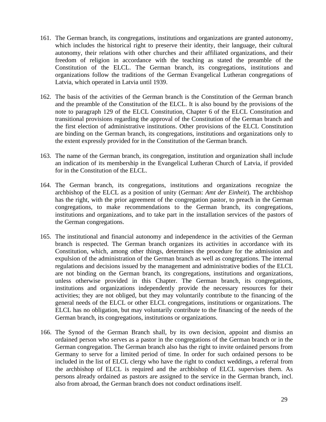- 161. The German branch, its congregations, institutions and organizations are granted autonomy, which includes the historical right to preserve their identity, their language, their cultural autonomy, their relations with other churches and their affiliated organizations, and their freedom of religion in accordance with the teaching as stated the preamble of the Constitution of the ELCL. The German branch, its congregations, institutions and organizations follow the traditions of the German Evangelical Lutheran congregations of Latvia, which operated in Latvia until 1939.
- 162. The basis of the activities of the German branch is the Constitution of the German branch and the preamble of the Constitution of the ELCL. It is also bound by the provisions of the note to paragraph 129 of the ELCL Constitution, Chapter 6 of the ELCL Constitution and transitional provisions regarding the approval of the Constitution of the German branch and the first election of administrative institutions. Other provisions of the ELCL Constitution are binding on the German branch, its congregations, institutions and organizations only to the extent expressly provided for in the Constitution of the German branch.
- 163. The name of the German branch, its congregation, institution and organization shall include an indication of its membership in the Evangelical Lutheran Church of Latvia, if provided for in the Constitution of the ELCL.
- 164. The German branch, its congregations, institutions and organizations recognize the archbishop of the ELCL as a position of unity (German: *Amt der Einheit*). The archbishop has the right, with the prior agreement of the congregation pastor, to preach in the German congregations, to make recommendations to the German branch, its congregations, institutions and organizations, and to take part in the installation services of the pastors of the German congregations.
- 165. The institutional and financial autonomy and independence in the activities of the German branch is respected. The German branch organizes its activities in accordance with its Constitution, which, among other things, determines the procedure for the admission and expulsion of the administration of the German branch as well as congregations. The internal regulations and decisions issued by the management and administrative bodies of the ELCL are not binding on the German branch, its congregations, institutions and organizations, unless otherwise provided in this Chapter. The German branch, its congregations, institutions and organizations independently provide the necessary resources for their activities; they are not obliged, but they may voluntarily contribute to the financing of the general needs of the ELCL or other ELCL congregations, institutions or organizations. The ELCL has no obligation, but may voluntarily contribute to the financing of the needs of the German branch, its congregations, institutions or organizations.
- 166. The Synod of the German Branch shall, by its own decision, appoint and dismiss an ordained person who serves as a pastor in the congregations of the German branch or in the German congregation. The German branch also has the right to invite ordained persons from Germany to serve for a limited period of time. In order for such ordained persons to be included in the list of ELCL clergy who have the right to conduct weddings, a referral from the archbishop of ELCL is required and the archbishop of ELCL supervises them. As persons already ordained as pastors are assigned to the service in the German branch, incl. also from abroad, the German branch does not conduct ordinations itself.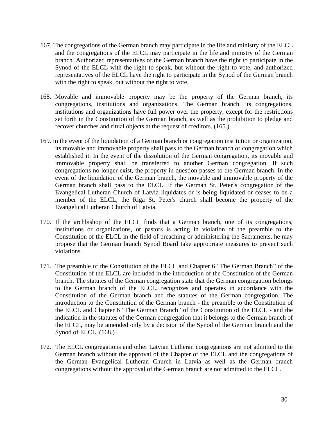- 167. The congregations of the German branch may participate in the life and ministry of the ELCL and the congregations of the ELCL may participate in the life and ministry of the German branch. Authorized representatives of the German branch have the right to participate in the Synod of the ELCL with the right to speak, but without the right to vote, and authorized representatives of the ELCL have the right to participate in the Synod of the German branch with the right to speak, but without the right to vote.
- 168. Movable and immovable property may be the property of the German branch, its congregations, institutions and organizations. The German branch, its congregations, institutions and organizations have full power over the property, except for the restrictions set forth in the Constitution of the German branch, as well as the prohibition to pledge and recover churches and ritual objects at the request of creditors. (165.)
- 169. In the event of the liquidation of a German branch or congregation institution or organization, its movable and immovable property shall pass to the German branch or congregation which established it. In the event of the dissolution of the German congregation, its movable and immovable property shall be transferred to another German congregation. If such congregations no longer exist, the property in question passes to the German branch. In the event of the liquidation of the German branch, the movable and immovable property of the German branch shall pass to the ELCL. If the German St. Peter's congregation of the Evangelical Lutheran Church of Latvia liquidates or is being liquidated or ceases to be a member of the ELCL, the Riga St. Peter's church shall become the property of the Evangelical Lutheran Church of Latvia.
- 170. If the archbishop of the ELCL finds that a German branch, one of its congregations, institutions or organizations, or pastors is acting in violation of the preamble to the Constitution of the ELCL in the field of preaching or administering the Sacraments, he may propose that the German branch Synod Board take appropriate measures to prevent such violations.
- 171. The preamble of the Constitution of the ELCL and Chapter 6 "The German Branch" of the Constitution of the ELCL are included in the introduction of the Constitution of the German branch. The statutes of the German congregation state that the German congregation belongs to the German branch of the ELCL, recognizes and operates in accordance with the Constitution of the German branch and the statutes of the German congregation. The introduction to the Constitution of the German branch - the preamble to the Constitution of the ELCL and Chapter 6 "The German Branch" of the Constitution of the ELCL - and the indication in the statutes of the German congregation that it belongs to the German branch of the ELCL, may be amended only by a decision of the Synod of the German branch and the Synod of ELCL. (168.)
- 172. The ELCL congregations and other Latvian Lutheran congregations are not admitted to the German branch without the approval of the Chapter of the ELCL and the congregations of the German Evangelical Lutheran Church in Latvia as well as the German branch congregations without the approval of the German branch are not admitted to the ELCL.